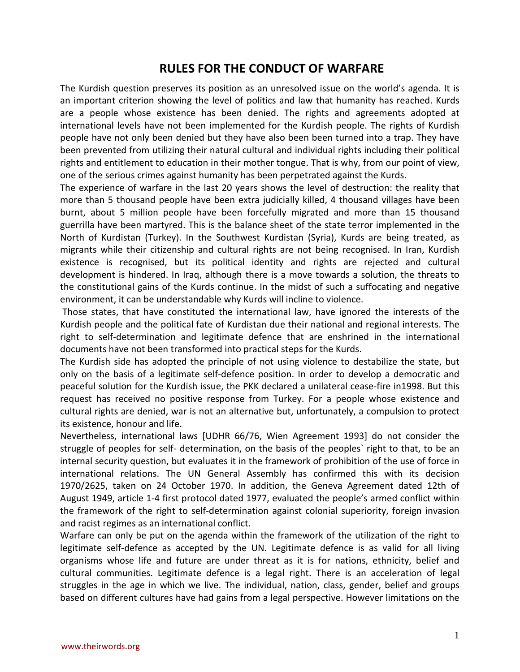# **RULES FOR THE CONDUCT OF WARFARE**

The Kurdish question preserves its position as an unresolved issue on the world's agenda. It is an important criterion showing the level of politics and law that humanity has reached. Kurds are a people whose existence has been denied. The rights and agreements adopted at international levels have not been implemented for the Kurdish people. The rights of Kurdish people have not only been denied but they have also been been turned into a trap. They have been prevented from utilizing their natural cultural and individual rights including their political rights and entitlement to education in their mother tongue. That is why, from our point of view, one of the serious crimes against humanity has been perpetrated against the Kurds.

The experience of warfare in the last 20 years shows the level of destruction: the reality that more than 5 thousand people have been extra judicially killed, 4 thousand villages have been burnt, about 5 million people have been forcefully migrated and more than 15 thousand guerrilla have been martyred. This is the balance sheet of the state terror implemented in the North of Kurdistan (Turkey). In the Southwest Kurdistan (Syria), Kurds are being treated, as migrants while their citizenship and cultural rights are not being recognised. In Iran, Kurdish existence is recognised, but its political identity and rights are rejected and cultural development is hindered. In Iraq, although there is a move towards a solution, the threats to the constitutional gains of the Kurds continue. In the midst of such a suffocating and negative environment, it can be understandable why Kurds will incline to violence.

Those states, that have constituted the international law, have ignored the interests of the Kurdish people and the political fate of Kurdistan due their national and regional interests. The right to self-determination and legitimate defence that are enshrined in the international documents have not been transformed into practical steps for the Kurds.

The Kurdish side has adopted the principle of not using violence to destabilize the state, but only on the basis of a legitimate self-defence position. In order to develop a democratic and peaceful solution for the Kurdish issue, the PKK declared a unilateral cease-fire in1998. But this request has received no positive response from Turkey. For a people whose existence and cultural rights are denied, war is not an alternative but, unfortunately, a compulsion to protect its existence, honour and life.

Nevertheless, international laws [UDHR 66/76, Wien Agreement 1993] do not consider the struggle of peoples for self- determination, on the basis of the peoples` right to that, to be an internal security question, but evaluates it in the framework of prohibition of the use of force in international relations. The UN General Assembly has confirmed this with its decision 1970/2625, taken on 24 October 1970. In addition, the Geneva Agreement dated 12th of August 1949, article 1-4 first protocol dated 1977, evaluated the people's armed conflict within the framework of the right to self-determination against colonial superiority, foreign invasion and racist regimes as an international conflict.

Warfare can only be put on the agenda within the framework of the utilization of the right to legitimate self-defence as accepted by the UN. Legitimate defence is as valid for all living organisms whose life and future are under threat as it is for nations, ethnicity, belief and cultural communities. Legitimate defence is a legal right. There is an acceleration of legal struggles in the age in which we live. The individual, nation, class, gender, belief and groups based on different cultures have had gains from a legal perspective. However limitations on the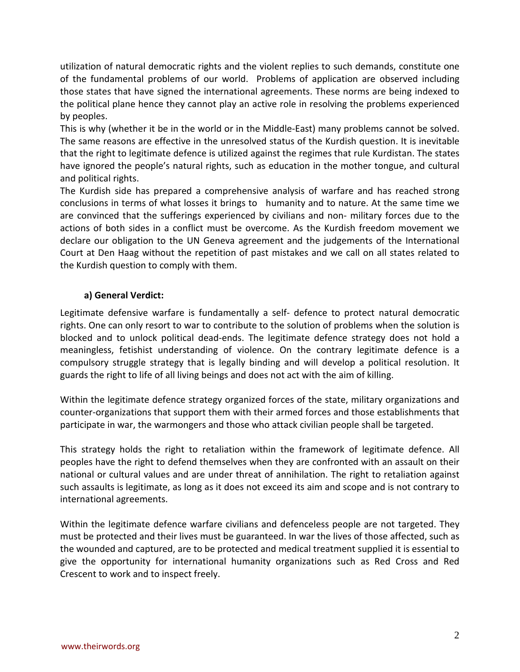utilization of natural democratic rights and the violent replies to such demands, constitute one of the fundamental problems of our world. Problems of application are observed including those states that have signed the international agreements. These norms are being indexed to the political plane hence they cannot play an active role in resolving the problems experienced by peoples.

This is why (whether it be in the world or in the Middle-East) many problems cannot be solved. The same reasons are effective in the unresolved status of the Kurdish question. It is inevitable that the right to legitimate defence is utilized against the regimes that rule Kurdistan. The states have ignored the people's natural rights, such as education in the mother tongue, and cultural and political rights.

The Kurdish side has prepared a comprehensive analysis of warfare and has reached strong conclusions in terms of what losses it brings to humanity and to nature. At the same time we are convinced that the sufferings experienced by civilians and non- military forces due to the actions of both sides in a conflict must be overcome. As the Kurdish freedom movement we declare our obligation to the UN Geneva agreement and the judgements of the International Court at Den Haag without the repetition of past mistakes and we call on all states related to the Kurdish question to comply with them.

## **a) General Verdict:**

Legitimate defensive warfare is fundamentally a self- defence to protect natural democratic rights. One can only resort to war to contribute to the solution of problems when the solution is blocked and to unlock political dead-ends. The legitimate defence strategy does not hold a meaningless, fetishist understanding of violence. On the contrary legitimate defence is a compulsory struggle strategy that is legally binding and will develop a political resolution. It guards the right to life of all living beings and does not act with the aim of killing.

Within the legitimate defence strategy organized forces of the state, military organizations and counter-organizations that support them with their armed forces and those establishments that participate in war, the warmongers and those who attack civilian people shall be targeted.

This strategy holds the right to retaliation within the framework of legitimate defence. All peoples have the right to defend themselves when they are confronted with an assault on their national or cultural values and are under threat of annihilation. The right to retaliation against such assaults is legitimate, as long as it does not exceed its aim and scope and is not contrary to international agreements.

Within the legitimate defence warfare civilians and defenceless people are not targeted. They must be protected and their lives must be guaranteed. In war the lives of those affected, such as the wounded and captured, are to be protected and medical treatment supplied it is essential to give the opportunity for international humanity organizations such as Red Cross and Red Crescent to work and to inspect freely.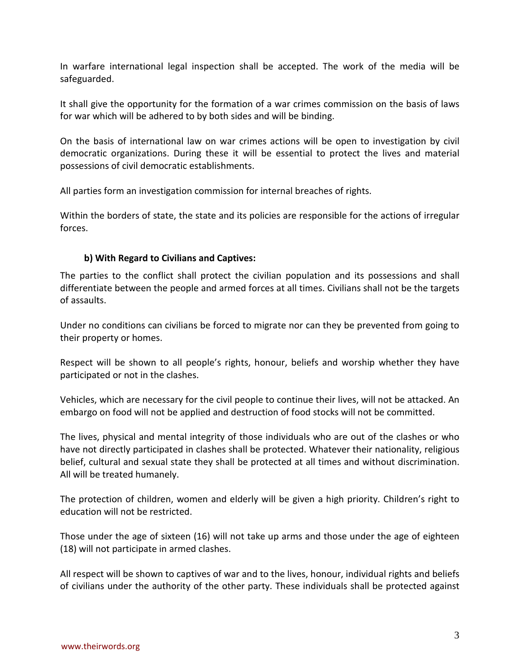In warfare international legal inspection shall be accepted. The work of the media will be safeguarded.

It shall give the opportunity for the formation of a war crimes commission on the basis of laws for war which will be adhered to by both sides and will be binding.

On the basis of international law on war crimes actions will be open to investigation by civil democratic organizations. During these it will be essential to protect the lives and material possessions of civil democratic establishments.

All parties form an investigation commission for internal breaches of rights.

Within the borders of state, the state and its policies are responsible for the actions of irregular forces.

## **b) With Regard to Civilians and Captives:**

The parties to the conflict shall protect the civilian population and its possessions and shall differentiate between the people and armed forces at all times. Civilians shall not be the targets of assaults.

Under no conditions can civilians be forced to migrate nor can they be prevented from going to their property or homes.

Respect will be shown to all people's rights, honour, beliefs and worship whether they have participated or not in the clashes.

Vehicles, which are necessary for the civil people to continue their lives, will not be attacked. An embargo on food will not be applied and destruction of food stocks will not be committed.

The lives, physical and mental integrity of those individuals who are out of the clashes or who have not directly participated in clashes shall be protected. Whatever their nationality, religious belief, cultural and sexual state they shall be protected at all times and without discrimination. All will be treated humanely.

The protection of children, women and elderly will be given a high priority. Children's right to education will not be restricted.

Those under the age of sixteen (16) will not take up arms and those under the age of eighteen (18) will not participate in armed clashes.

All respect will be shown to captives of war and to the lives, honour, individual rights and beliefs of civilians under the authority of the other party. These individuals shall be protected against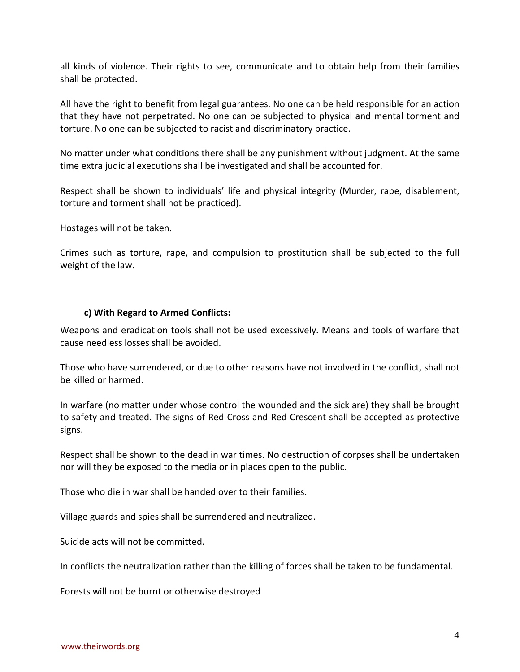all kinds of violence. Their rights to see, communicate and to obtain help from their families shall be protected.

All have the right to benefit from legal guarantees. No one can be held responsible for an action that they have not perpetrated. No one can be subjected to physical and mental torment and torture. No one can be subjected to racist and discriminatory practice.

No matter under what conditions there shall be any punishment without judgment. At the same time extra judicial executions shall be investigated and shall be accounted for.

Respect shall be shown to individuals' life and physical integrity (Murder, rape, disablement, torture and torment shall not be practiced).

Hostages will not be taken.

Crimes such as torture, rape, and compulsion to prostitution shall be subjected to the full weight of the law.

### **c) With Regard to Armed Conflicts:**

Weapons and eradication tools shall not be used excessively. Means and tools of warfare that cause needless losses shall be avoided.

Those who have surrendered, or due to other reasons have not involved in the conflict, shall not be killed or harmed.

In warfare (no matter under whose control the wounded and the sick are) they shall be brought to safety and treated. The signs of Red Cross and Red Crescent shall be accepted as protective signs.

Respect shall be shown to the dead in war times. No destruction of corpses shall be undertaken nor will they be exposed to the media or in places open to the public.

Those who die in war shall be handed over to their families.

Village guards and spies shall be surrendered and neutralized.

Suicide acts will not be committed.

In conflicts the neutralization rather than the killing of forces shall be taken to be fundamental.

Forests will not be burnt or otherwise destroyed